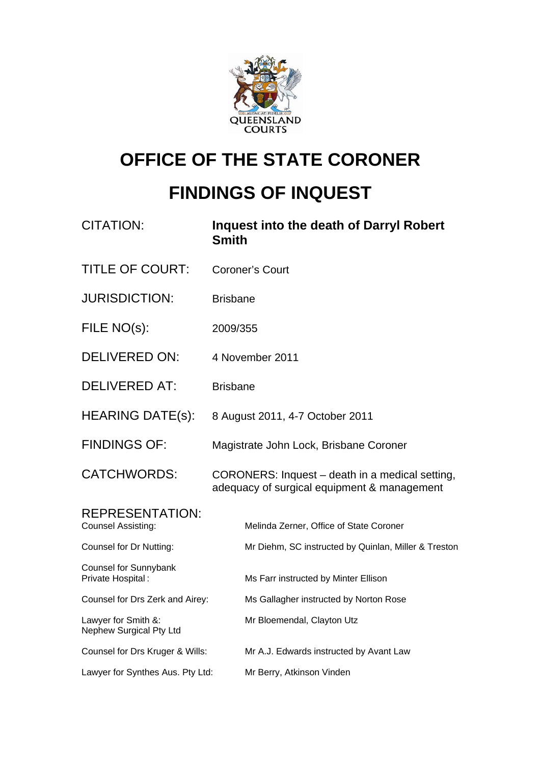

# **OFFICE OF THE STATE CORONER**

# **FINDINGS OF INQUEST**

| <b>CITATION:</b>                                    | Inquest into the death of Darryl Robert<br><b>Smith</b>                                        |
|-----------------------------------------------------|------------------------------------------------------------------------------------------------|
| <b>TITLE OF COURT:</b>                              | <b>Coroner's Court</b>                                                                         |
| <b>JURISDICTION:</b>                                | <b>Brisbane</b>                                                                                |
| FILE NO(s):                                         | 2009/355                                                                                       |
| <b>DELIVERED ON:</b>                                | 4 November 2011                                                                                |
| <b>DELIVERED AT:</b>                                | <b>Brisbane</b>                                                                                |
| <b>HEARING DATE(s):</b>                             | 8 August 2011, 4-7 October 2011                                                                |
| <b>FINDINGS OF:</b>                                 | Magistrate John Lock, Brisbane Coroner                                                         |
| <b>CATCHWORDS:</b>                                  | CORONERS: Inquest – death in a medical setting,<br>adequacy of surgical equipment & management |
| <b>REPRESENTATION:</b><br><b>Counsel Assisting:</b> | Melinda Zerner, Office of State Coroner                                                        |
| Counsel for Dr Nutting:                             | Mr Diehm, SC instructed by Quinlan, Miller & Treston                                           |
| Counsel for Sunnybank<br>Private Hospital:          | Ms Farr instructed by Minter Ellison                                                           |
| Counsel for Drs Zerk and Airey:                     | Ms Gallagher instructed by Norton Rose                                                         |
| Lawyer for Smith &:<br>Nephew Surgical Pty Ltd      | Mr Bloemendal, Clayton Utz                                                                     |
| Counsel for Drs Kruger & Wills:                     | Mr A.J. Edwards instructed by Avant Law                                                        |
| Lawyer for Synthes Aus. Pty Ltd:                    | Mr Berry, Atkinson Vinden                                                                      |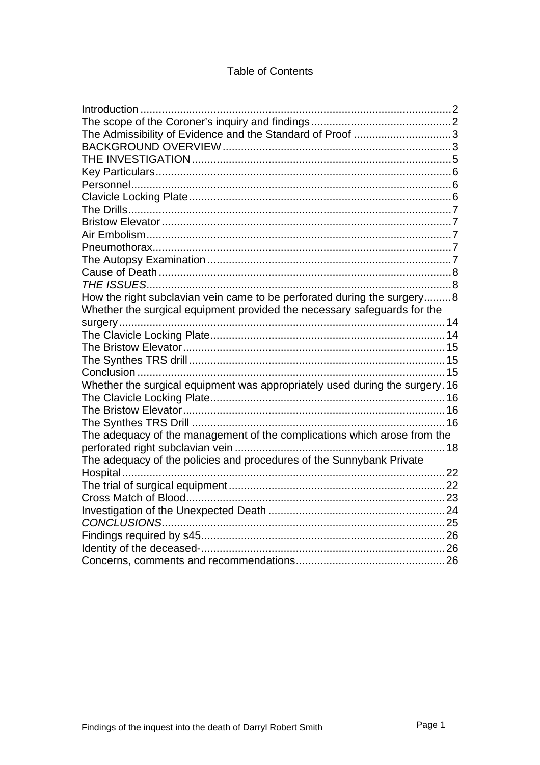## **Table of Contents**

| Introduction                                                                 |  |
|------------------------------------------------------------------------------|--|
|                                                                              |  |
| The Admissibility of Evidence and the Standard of Proof 3                    |  |
|                                                                              |  |
|                                                                              |  |
|                                                                              |  |
|                                                                              |  |
|                                                                              |  |
|                                                                              |  |
|                                                                              |  |
|                                                                              |  |
|                                                                              |  |
|                                                                              |  |
|                                                                              |  |
|                                                                              |  |
| How the right subclavian vein came to be perforated during the surgery8      |  |
| Whether the surgical equipment provided the necessary safeguards for the     |  |
|                                                                              |  |
|                                                                              |  |
|                                                                              |  |
|                                                                              |  |
|                                                                              |  |
| Whether the surgical equipment was appropriately used during the surgery. 16 |  |
|                                                                              |  |
|                                                                              |  |
|                                                                              |  |
| The adequacy of the management of the complications which arose from the     |  |
|                                                                              |  |
| The adequacy of the policies and procedures of the Sunnybank Private         |  |
|                                                                              |  |
|                                                                              |  |
|                                                                              |  |
|                                                                              |  |
|                                                                              |  |
|                                                                              |  |
|                                                                              |  |
|                                                                              |  |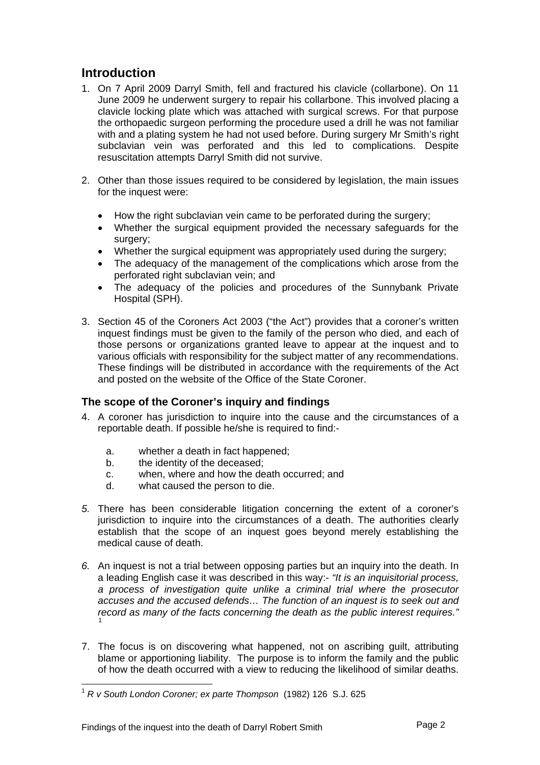# <span id="page-2-0"></span>**Introduction**

- 1. On 7 April 2009 Darryl Smith, fell and fractured his clavicle (collarbone). On 11 June 2009 he underwent surgery to repair his collarbone. This involved placing a clavicle locking plate which was attached with surgical screws. For that purpose the orthopaedic surgeon performing the procedure used a drill he was not familiar with and a plating system he had not used before. During surgery Mr Smith's right subclavian vein was perforated and this led to complications. Despite resuscitation attempts Darryl Smith did not survive.
- 2. Other than those issues required to be considered by legislation, the main issues for the inquest were:
	- How the right subclavian vein came to be perforated during the surgery;
	- Whether the surgical equipment provided the necessary safeguards for the surgery:
	- Whether the surgical equipment was appropriately used during the surgery;
	- The adequacy of the management of the complications which arose from the perforated right subclavian vein; and
	- The adequacy of the policies and procedures of the Sunnybank Private Hospital (SPH).
- 3. Section 45 of the Coroners Act 2003 ("the Act") provides that a coroner's written inquest findings must be given to the family of the person who died, and each of those persons or organizations granted leave to appear at the inquest and to various officials with responsibility for the subject matter of any recommendations. These findings will be distributed in accordance with the requirements of the Act and posted on the website of the Office of the State Coroner.

## **The scope of the Coroner's inquiry and findings**

- 4. A coroner has jurisdiction to inquire into the cause and the circumstances of a reportable death. If possible he/she is required to find:
	- a. whether a death in fact happened;
	- b. the identity of the deceased:
	- c. when, where and how the death occurred; and
	- d. what caused the person to die.
- *5.* There has been considerable litigation concerning the extent of a coroner's jurisdiction to inquire into the circumstances of a death. The authorities clearly establish that the scope of an inquest goes beyond merely establishing the medical cause of death.
- *6.* An inquest is not a trial between opposing parties but an inquiry into the death. In a leading English case it was described in this way:- *"It is an inquisitorial process, a process of investigation quite unlike a criminal trial where the prosecutor accuses and the accused defends… The function of an inquest is to seek out and record as many of the facts concerning the death as the public interest requires."* [1](#page-2-1)
- 7. The focus is on discovering what happened, not on ascribing guilt, attributing blame or apportioning liability. The purpose is to inform the family and the public of how the death occurred with a view to reducing the likelihood of similar deaths.

<span id="page-2-1"></span><sup>1</sup> *R v South London Coroner; ex parte Thompson* (1982) 126 S.J. 625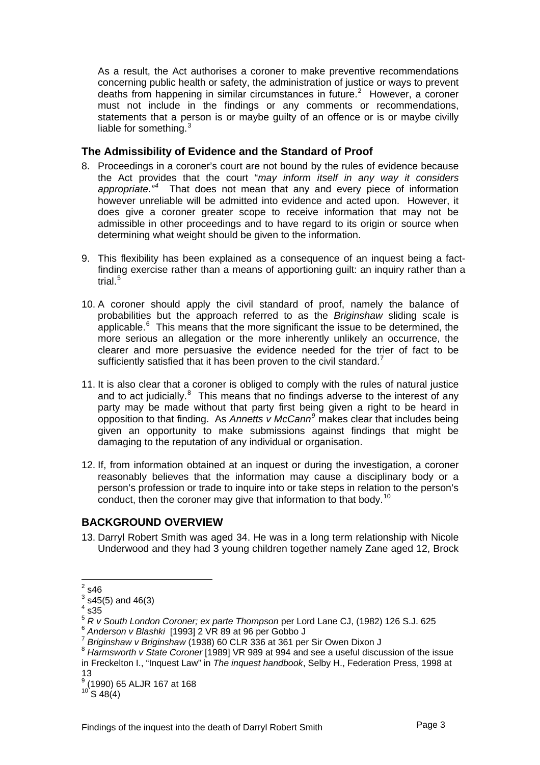<span id="page-3-0"></span>As a result, the Act authorises a coroner to make preventive recommendations concerning public health or safety, the administration of justice or ways to prevent deaths from happening in similar circumstances in future. $2$  However, a coroner must not include in the findings or any comments or recommendations, statements that a person is or maybe guilty of an offence or is or maybe civilly liable for something. $3$ 

## **The Admissibility of Evidence and the Standard of Proof**

- 8. Proceedings in a coroner's court are not bound by the rules of evidence because the Act provides that the court "*may inform itself in any way it considers*  appropriate.<sup>"[4](#page-3-3)</sup> That does not mean that any and every piece of information however unreliable will be admitted into evidence and acted upon. However, it does give a coroner greater scope to receive information that may not be admissible in other proceedings and to have regard to its origin or source when determining what weight should be given to the information.
- 9. This flexibility has been explained as a consequence of an inquest being a factfinding exercise rather than a means of apportioning guilt: an inquiry rather than a trial. $^5$  $^5$
- 10. A coroner should apply the civil standard of proof, namely the balance of probabilities but the approach referred to as the *Briginshaw* sliding scale is applicable. $6$  This means that the more significant the issue to be determined, the more serious an allegation or the more inherently unlikely an occurrence, the clearer and more persuasive the evidence needed for the trier of fact to be sufficiently satisfied that it has been proven to the civil standard.<sup>[7](#page-3-6)</sup>
- 11. It is also clear that a coroner is obliged to comply with the rules of natural justice and to act judicially. $8$  This means that no findings adverse to the interest of any party may be made without that party first being given a right to be heard in opposition to that finding. As *Annetts v McCann[9](#page-3-8)* makes clear that includes being given an opportunity to make submissions against findings that might be damaging to the reputation of any individual or organisation.
- 12. If, from information obtained at an inquest or during the investigation, a coroner reasonably believes that the information may cause a disciplinary body or a person's profession or trade to inquire into or take steps in relation to the person's conduct, then the coroner may give that information to that body.<sup>[10](#page-3-9)</sup>

## **BACKGROUND OVERVIEW**

13. Darryl Robert Smith was aged 34. He was in a long term relationship with Nicole Underwood and they had 3 young children together namely Zane aged 12, Brock

 $\frac{1}{2}$ s46

<span id="page-3-2"></span><span id="page-3-1"></span> $^3$  s45(5) and 46(3)

 $4$  s35

<span id="page-3-4"></span><span id="page-3-3"></span><sup>&</sup>lt;sup>5</sup> R v South London Coroner; ex parte Thompson per Lord Lane CJ, (1982) 126 S.J. 625<br>
<sup>6</sup> Anderson v Blashki [1993] 2 VR 89 at 96 per Gobbo J<br>
<sup>7</sup> Briginshaw v Briginshaw (1938) 60 CLR 336 at 361 per Sir Owen Dixon J<br>
<sup>8</sup>

<span id="page-3-6"></span><span id="page-3-5"></span>

<span id="page-3-7"></span>in Freckelton I., "Inquest Law" in *The inquest handbook*, Selby H., Federation Press, 1998 at 13

<span id="page-3-8"></span><sup>9</sup> (1990) 65 ALJR 167 at 168

<span id="page-3-9"></span> $10^{10}$  S 48(4)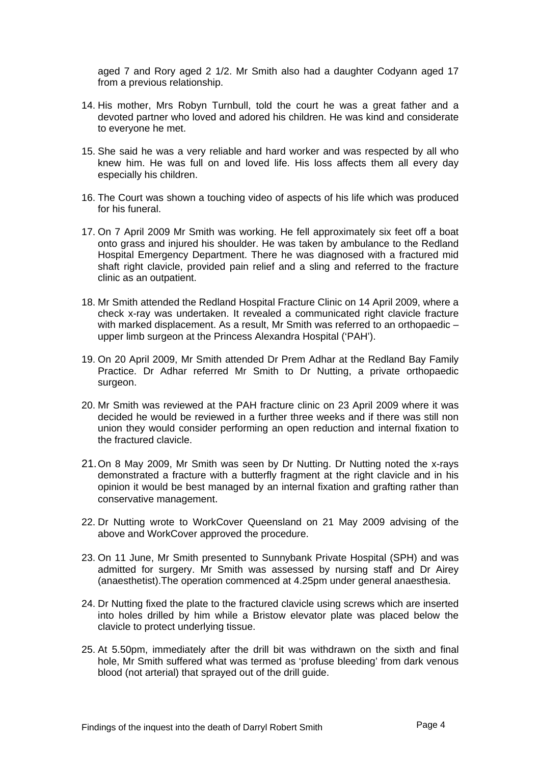aged 7 and Rory aged 2 1/2. Mr Smith also had a daughter Codyann aged 17 from a previous relationship.

- 14. His mother, Mrs Robyn Turnbull, told the court he was a great father and a devoted partner who loved and adored his children. He was kind and considerate to everyone he met.
- 15. She said he was a very reliable and hard worker and was respected by all who knew him. He was full on and loved life. His loss affects them all every day especially his children.
- 16. The Court was shown a touching video of aspects of his life which was produced for his funeral.
- 17. On 7 April 2009 Mr Smith was working. He fell approximately six feet off a boat onto grass and injured his shoulder. He was taken by ambulance to the Redland Hospital Emergency Department. There he was diagnosed with a fractured mid shaft right clavicle, provided pain relief and a sling and referred to the fracture clinic as an outpatient.
- 18. Mr Smith attended the Redland Hospital Fracture Clinic on 14 April 2009, where a check x-ray was undertaken. It revealed a communicated right clavicle fracture with marked displacement. As a result, Mr Smith was referred to an orthopaedic upper limb surgeon at the Princess Alexandra Hospital ('PAH').
- 19. On 20 April 2009, Mr Smith attended Dr Prem Adhar at the Redland Bay Family Practice. Dr Adhar referred Mr Smith to Dr Nutting, a private orthopaedic surgeon.
- 20. Mr Smith was reviewed at the PAH fracture clinic on 23 April 2009 where it was decided he would be reviewed in a further three weeks and if there was still non union they would consider performing an open reduction and internal fixation to the fractured clavicle.
- 21. On 8 May 2009, Mr Smith was seen by Dr Nutting. Dr Nutting noted the x-rays demonstrated a fracture with a butterfly fragment at the right clavicle and in his opinion it would be best managed by an internal fixation and grafting rather than conservative management.
- 22. Dr Nutting wrote to WorkCover Queensland on 21 May 2009 advising of the above and WorkCover approved the procedure.
- 23. On 11 June, Mr Smith presented to Sunnybank Private Hospital (SPH) and was admitted for surgery. Mr Smith was assessed by nursing staff and Dr Airey (anaesthetist).The operation commenced at 4.25pm under general anaesthesia.
- 24. Dr Nutting fixed the plate to the fractured clavicle using screws which are inserted into holes drilled by him while a Bristow elevator plate was placed below the clavicle to protect underlying tissue.
- 25. At 5.50pm, immediately after the drill bit was withdrawn on the sixth and final hole, Mr Smith suffered what was termed as 'profuse bleeding' from dark venous blood (not arterial) that sprayed out of the drill guide.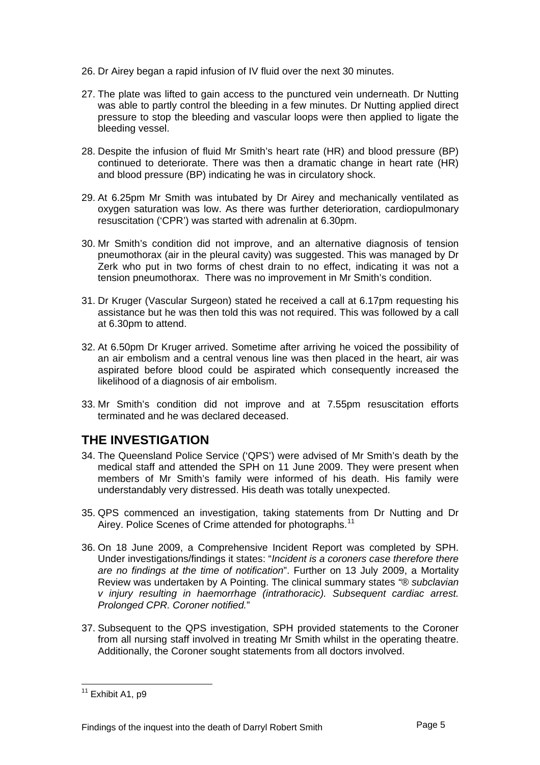- <span id="page-5-0"></span>26. Dr Airey began a rapid infusion of IV fluid over the next 30 minutes.
- 27. The plate was lifted to gain access to the punctured vein underneath. Dr Nutting was able to partly control the bleeding in a few minutes. Dr Nutting applied direct pressure to stop the bleeding and vascular loops were then applied to ligate the bleeding vessel.
- 28. Despite the infusion of fluid Mr Smith's heart rate (HR) and blood pressure (BP) continued to deteriorate. There was then a dramatic change in heart rate (HR) and blood pressure (BP) indicating he was in circulatory shock.
- 29. At 6.25pm Mr Smith was intubated by Dr Airey and mechanically ventilated as oxygen saturation was low. As there was further deterioration, cardiopulmonary resuscitation ('CPR') was started with adrenalin at 6.30pm.
- 30. Mr Smith's condition did not improve, and an alternative diagnosis of tension pneumothorax (air in the pleural cavity) was suggested. This was managed by Dr Zerk who put in two forms of chest drain to no effect, indicating it was not a tension pneumothorax. There was no improvement in Mr Smith's condition.
- 31. Dr Kruger (Vascular Surgeon) stated he received a call at 6.17pm requesting his assistance but he was then told this was not required. This was followed by a call at 6.30pm to attend.
- 32. At 6.50pm Dr Kruger arrived. Sometime after arriving he voiced the possibility of an air embolism and a central venous line was then placed in the heart, air was aspirated before blood could be aspirated which consequently increased the likelihood of a diagnosis of air embolism.
- 33. Mr Smith's condition did not improve and at 7.55pm resuscitation efforts terminated and he was declared deceased.

# **THE INVESTIGATION**

- 34. The Queensland Police Service ('QPS') were advised of Mr Smith's death by the medical staff and attended the SPH on 11 June 2009. They were present when members of Mr Smith's family were informed of his death. His family were understandably very distressed. His death was totally unexpected.
- 35. QPS commenced an investigation, taking statements from Dr Nutting and Dr Airey. Police Scenes of Crime attended for photographs.<sup>[11](#page-5-1)</sup>
- 36. On 18 June 2009, a Comprehensive Incident Report was completed by SPH. Under investigations/findings it states: "*Incident is a coroners case therefore there are no findings at the time of notification*". Further on 13 July 2009, a Mortality Review was undertaken by A Pointing. The clinical summary states *"® subclavian v injury resulting in haemorrhage (intrathoracic). Subsequent cardiac arrest. Prolonged CPR. Coroner notified.*"
- 37. Subsequent to the QPS investigation, SPH provided statements to the Coroner from all nursing staff involved in treating Mr Smith whilst in the operating theatre. Additionally, the Coroner sought statements from all doctors involved.

<span id="page-5-1"></span>l  $11$  Exhibit A1, p9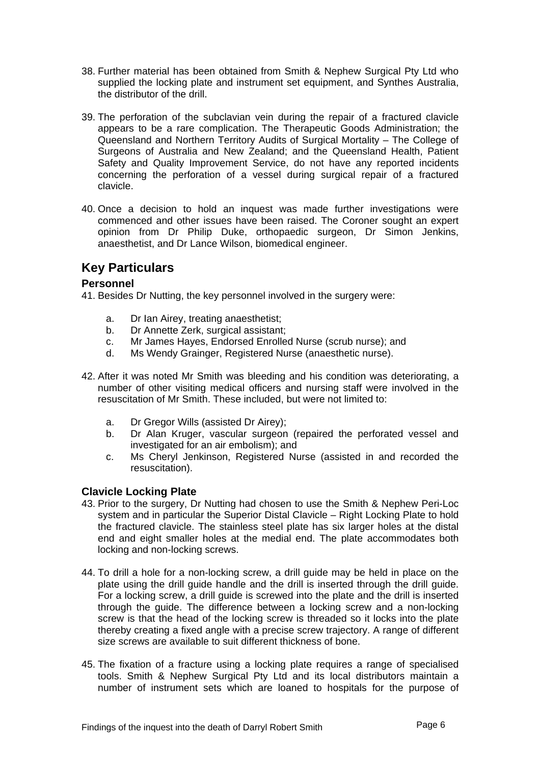- <span id="page-6-0"></span>38. Further material has been obtained from Smith & Nephew Surgical Pty Ltd who supplied the locking plate and instrument set equipment, and Synthes Australia, the distributor of the drill.
- 39. The perforation of the subclavian vein during the repair of a fractured clavicle appears to be a rare complication. The Therapeutic Goods Administration; the Queensland and Northern Territory Audits of Surgical Mortality – The College of Surgeons of Australia and New Zealand; and the Queensland Health, Patient Safety and Quality Improvement Service, do not have any reported incidents concerning the perforation of a vessel during surgical repair of a fractured clavicle.
- 40. Once a decision to hold an inquest was made further investigations were commenced and other issues have been raised. The Coroner sought an expert opinion from Dr Philip Duke, orthopaedic surgeon, Dr Simon Jenkins, anaesthetist, and Dr Lance Wilson, biomedical engineer.

# **Key Particulars**

## **Personnel**

41. Besides Dr Nutting, the key personnel involved in the surgery were:

- a. Dr Ian Airey, treating anaesthetist;
- b. Dr Annette Zerk, surgical assistant;
- c. Mr James Hayes, Endorsed Enrolled Nurse (scrub nurse); and
- d. Ms Wendy Grainger, Registered Nurse (anaesthetic nurse).
- 42. After it was noted Mr Smith was bleeding and his condition was deteriorating, a number of other visiting medical officers and nursing staff were involved in the resuscitation of Mr Smith. These included, but were not limited to:
	- a. Dr Gregor Wills (assisted Dr Airey);
	- b. Dr Alan Kruger, vascular surgeon (repaired the perforated vessel and investigated for an air embolism); and
	- c. Ms Cheryl Jenkinson, Registered Nurse (assisted in and recorded the resuscitation).

## **Clavicle Locking Plate**

- 43. Prior to the surgery, Dr Nutting had chosen to use the Smith & Nephew Peri-Loc system and in particular the Superior Distal Clavicle – Right Locking Plate to hold the fractured clavicle. The stainless steel plate has six larger holes at the distal end and eight smaller holes at the medial end. The plate accommodates both locking and non-locking screws.
- 44. To drill a hole for a non-locking screw, a drill guide may be held in place on the plate using the drill guide handle and the drill is inserted through the drill guide. For a locking screw, a drill guide is screwed into the plate and the drill is inserted through the guide. The difference between a locking screw and a non-locking screw is that the head of the locking screw is threaded so it locks into the plate thereby creating a fixed angle with a precise screw trajectory. A range of different size screws are available to suit different thickness of bone.
- 45. The fixation of a fracture using a locking plate requires a range of specialised tools. Smith & Nephew Surgical Pty Ltd and its local distributors maintain a number of instrument sets which are loaned to hospitals for the purpose of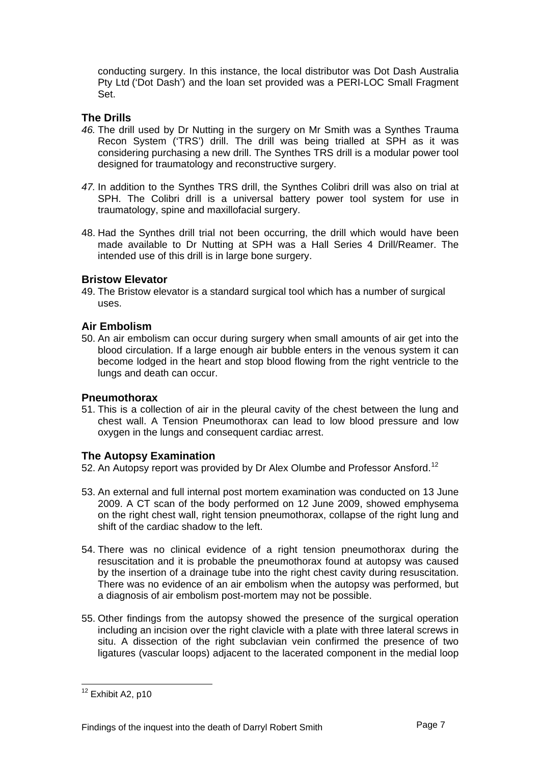<span id="page-7-0"></span>conducting surgery. In this instance, the local distributor was Dot Dash Australia Pty Ltd ('Dot Dash') and the loan set provided was a PERI-LOC Small Fragment Set.

## **The Drills**

- *46.* The drill used by Dr Nutting in the surgery on Mr Smith was a Synthes Trauma Recon System ('TRS') drill. The drill was being trialled at SPH as it was considering purchasing a new drill. The Synthes TRS drill is a modular power tool designed for traumatology and reconstructive surgery.
- *47.* In addition to the Synthes TRS drill, the Synthes Colibri drill was also on trial at SPH. The Colibri drill is a universal battery power tool system for use in traumatology, spine and maxillofacial surgery.
- 48. Had the Synthes drill trial not been occurring, the drill which would have been made available to Dr Nutting at SPH was a Hall Series 4 Drill/Reamer. The intended use of this drill is in large bone surgery.

### **Bristow Elevator**

49. The Bristow elevator is a standard surgical tool which has a number of surgical uses.

### **Air Embolism**

50. An air embolism can occur during surgery when small amounts of air get into the blood circulation. If a large enough air bubble enters in the venous system it can become lodged in the heart and stop blood flowing from the right ventricle to the lungs and death can occur.

#### **Pneumothorax**

51. This is a collection of air in the pleural cavity of the chest between the lung and chest wall. A Tension Pneumothorax can lead to low blood pressure and low oxygen in the lungs and consequent cardiac arrest.

## **The Autopsy Examination**

52. An Autopsy report was provided by Dr Alex Olumbe and Professor Ansford.<sup>[12](#page-7-1)</sup>

- 53. An external and full internal post mortem examination was conducted on 13 June 2009. A CT scan of the body performed on 12 June 2009, showed emphysema on the right chest wall, right tension pneumothorax, collapse of the right lung and shift of the cardiac shadow to the left.
- 54. There was no clinical evidence of a right tension pneumothorax during the resuscitation and it is probable the pneumothorax found at autopsy was caused by the insertion of a drainage tube into the right chest cavity during resuscitation. There was no evidence of an air embolism when the autopsy was performed, but a diagnosis of air embolism post-mortem may not be possible.
- 55. Other findings from the autopsy showed the presence of the surgical operation including an incision over the right clavicle with a plate with three lateral screws in situ. A dissection of the right subclavian vein confirmed the presence of two ligatures (vascular loops) adjacent to the lacerated component in the medial loop

<span id="page-7-1"></span>l  $12$  Exhibit A2, p10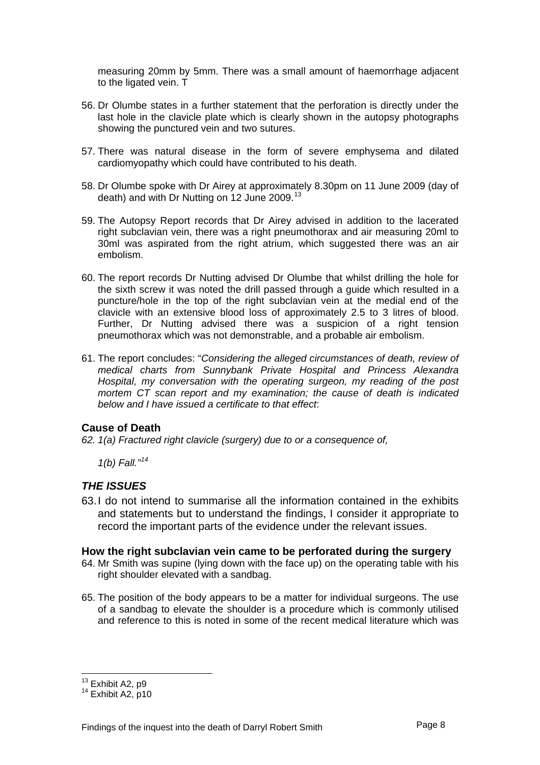<span id="page-8-0"></span>measuring 20mm by 5mm. There was a small amount of haemorrhage adjacent to the ligated vein. T

- 56. Dr Olumbe states in a further statement that the perforation is directly under the last hole in the clavicle plate which is clearly shown in the autopsy photographs showing the punctured vein and two sutures.
- 57. There was natural disease in the form of severe emphysema and dilated cardiomyopathy which could have contributed to his death.
- 58. Dr Olumbe spoke with Dr Airey at approximately 8.30pm on 11 June 2009 (day of death) and with Dr Nutting on 12 June 2009.<sup>[13](#page-8-1)</sup>
- 59. The Autopsy Report records that Dr Airey advised in addition to the lacerated right subclavian vein, there was a right pneumothorax and air measuring 20ml to 30ml was aspirated from the right atrium, which suggested there was an air embolism.
- 60. The report records Dr Nutting advised Dr Olumbe that whilst drilling the hole for the sixth screw it was noted the drill passed through a guide which resulted in a puncture/hole in the top of the right subclavian vein at the medial end of the clavicle with an extensive blood loss of approximately 2.5 to 3 litres of blood. Further, Dr Nutting advised there was a suspicion of a right tension pneumothorax which was not demonstrable, and a probable air embolism.
- 61. The report concludes: "*Considering the alleged circumstances of death, review of medical charts from Sunnybank Private Hospital and Princess Alexandra Hospital, my conversation with the operating surgeon, my reading of the post mortem CT scan report and my examination; the cause of death is indicated below and I have issued a certificate to that effect*:

## **Cause of Death**

*62. 1(a) Fractured right clavicle (surgery) due to or a consequence of,* 

 *1(b) Fall."[14](#page-8-2)*

## *THE ISSUES*

63. I do not intend to summarise all the information contained in the exhibits and statements but to understand the findings, I consider it appropriate to record the important parts of the evidence under the relevant issues.

#### **How the right subclavian vein came to be perforated during the surgery**

- 64. Mr Smith was supine (lying down with the face up) on the operating table with his right shoulder elevated with a sandbag.
- 65. The position of the body appears to be a matter for individual surgeons. The use of a sandbag to elevate the shoulder is a procedure which is commonly utilised and reference to this is noted in some of the recent medical literature which was

<span id="page-8-2"></span><span id="page-8-1"></span>

 $^{13}$  Exhibit A2, p9<br> $^{14}$  Exhibit A2, p10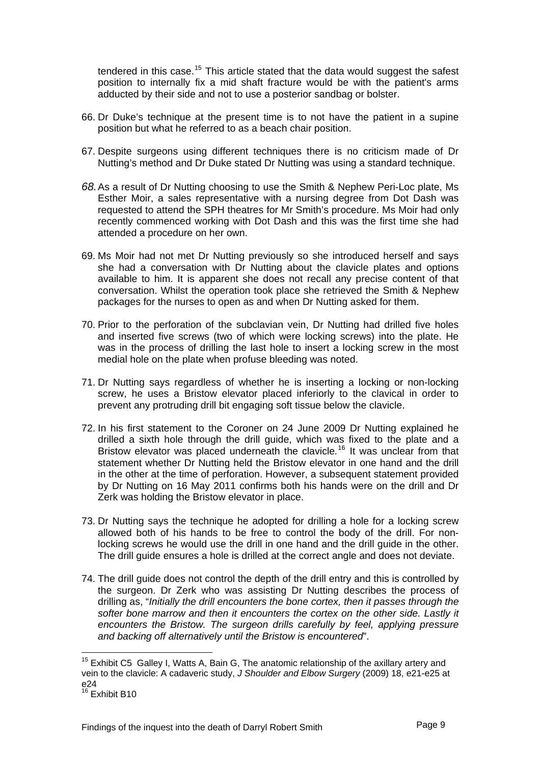tendered in this case.<sup>[15](#page-9-0)</sup> This article stated that the data would suggest the safest position to internally fix a mid shaft fracture would be with the patient's arms adducted by their side and not to use a posterior sandbag or bolster.

- 66. Dr Duke's technique at the present time is to not have the patient in a supine position but what he referred to as a beach chair position.
- 67. Despite surgeons using different techniques there is no criticism made of Dr Nutting's method and Dr Duke stated Dr Nutting was using a standard technique.
- *68.* As a result of Dr Nutting choosing to use the Smith & Nephew Peri-Loc plate, Ms Esther Moir, a sales representative with a nursing degree from Dot Dash was requested to attend the SPH theatres for Mr Smith's procedure. Ms Moir had only recently commenced working with Dot Dash and this was the first time she had attended a procedure on her own.
- 69. Ms Moir had not met Dr Nutting previously so she introduced herself and says she had a conversation with Dr Nutting about the clavicle plates and options available to him. It is apparent she does not recall any precise content of that conversation. Whilst the operation took place she retrieved the Smith & Nephew packages for the nurses to open as and when Dr Nutting asked for them.
- 70. Prior to the perforation of the subclavian vein, Dr Nutting had drilled five holes and inserted five screws (two of which were locking screws) into the plate. He was in the process of drilling the last hole to insert a locking screw in the most medial hole on the plate when profuse bleeding was noted.
- 71. Dr Nutting says regardless of whether he is inserting a locking or non-locking screw, he uses a Bristow elevator placed inferiorly to the clavical in order to prevent any protruding drill bit engaging soft tissue below the clavicle.
- 72. In his first statement to the Coroner on 24 June 2009 Dr Nutting explained he drilled a sixth hole through the drill guide, which was fixed to the plate and a Bristow elevator was placed underneath the clavicle*.* [16](#page-9-1) It was unclear from that statement whether Dr Nutting held the Bristow elevator in one hand and the drill in the other at the time of perforation. However, a subsequent statement provided by Dr Nutting on 16 May 2011 confirms both his hands were on the drill and Dr Zerk was holding the Bristow elevator in place.
- 73. Dr Nutting says the technique he adopted for drilling a hole for a locking screw allowed both of his hands to be free to control the body of the drill. For nonlocking screws he would use the drill in one hand and the drill guide in the other. The drill guide ensures a hole is drilled at the correct angle and does not deviate.
- 74. The drill guide does not control the depth of the drill entry and this is controlled by the surgeon. Dr Zerk who was assisting Dr Nutting describes the process of drilling as, "*Initially the drill encounters the bone cortex, then it passes through the softer bone marrow and then it encounters the cortex on the other side. Lastly it encounters the Bristow. The surgeon drills carefully by feel, applying pressure and backing off alternatively until the Bristow is encountered*".

<span id="page-9-0"></span> $15$  Exhibit C5 Galley I, Watts A, Bain G, The anatomic relationship of the axillary artery and vein to the clavicle: A cadaveric study, *J Shoulder and Elbow Surgery* (2009) 18, e21-e25 at e24

<span id="page-9-1"></span> $16$  Exhibit B10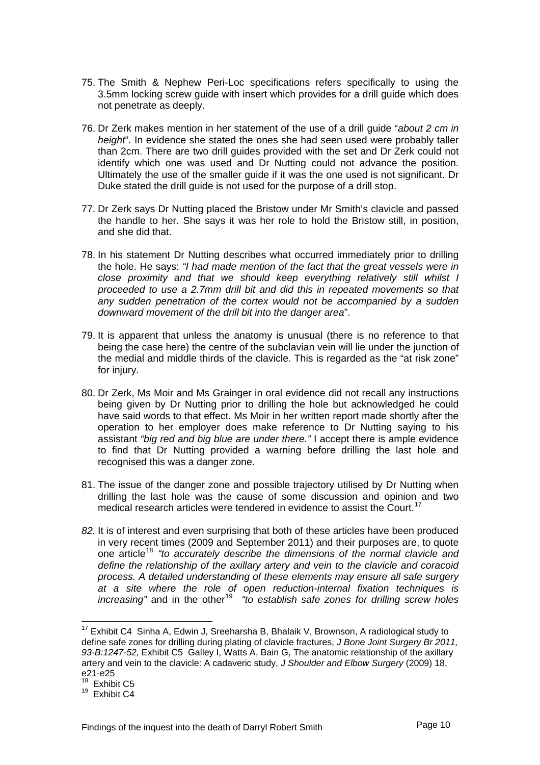- 75. The Smith & Nephew Peri-Loc specifications refers specifically to using the 3.5mm locking screw guide with insert which provides for a drill guide which does not penetrate as deeply.
- 76. Dr Zerk makes mention in her statement of the use of a drill guide "*about 2 cm in height*". In evidence she stated the ones she had seen used were probably taller than 2cm. There are two drill guides provided with the set and Dr Zerk could not identify which one was used and Dr Nutting could not advance the position. Ultimately the use of the smaller guide if it was the one used is not significant. Dr Duke stated the drill guide is not used for the purpose of a drill stop.
- 77. Dr Zerk says Dr Nutting placed the Bristow under Mr Smith's clavicle and passed the handle to her. She says it was her role to hold the Bristow still, in position, and she did that.
- 78. In his statement Dr Nutting describes what occurred immediately prior to drilling the hole. He says: *"I had made mention of the fact that the great vessels were in close proximity and that we should keep everything relatively still whilst I proceeded to use a 2.7mm drill bit and did this in repeated movements so that any sudden penetration of the cortex would not be accompanied by a sudden downward movement of the drill bit into the danger area*".
- 79. It is apparent that unless the anatomy is unusual (there is no reference to that being the case here) the centre of the subclavian vein will lie under the junction of the medial and middle thirds of the clavicle. This is regarded as the "at risk zone" for injury.
- 80. Dr Zerk, Ms Moir and Ms Grainger in oral evidence did not recall any instructions being given by Dr Nutting prior to drilling the hole but acknowledged he could have said words to that effect. Ms Moir in her written report made shortly after the operation to her employer does make reference to Dr Nutting saying to his assistant *"big red and big blue are under there."* I accept there is ample evidence to find that Dr Nutting provided a warning before drilling the last hole and recognised this was a danger zone.
- 81. The issue of the danger zone and possible trajectory utilised by Dr Nutting when drilling the last hole was the cause of some discussion and opinion and two medical research articles were tendered in evidence to assist the Court.<sup>[17](#page-10-0)</sup>
- *82.* It is of interest and even surprising that both of these articles have been produced in very recent times (2009 and September 2011) and their purposes are, to quote one article[18](#page-10-1) *"to accurately describe the dimensions of the normal clavicle and define the relationship of the axillary artery and vein to the clavicle and coracoid process. A detailed understanding of these elements may ensure all safe surgery at a site where the role of open reduction-internal fixation techniques is increasing*" and in the other<sup>[19](#page-10-2)</sup> "to establish safe zones for drilling screw holes

<span id="page-10-0"></span><sup>17</sup> Exhibit C4 Sinha A, Edwin J, Sreeharsha B, Bhalaik V, Brownson, A radiological study to define safe zones for drilling during plating of clavicle fractures, *J Bone Joint Surgery Br 2011, 93-B:1247-52,* Exhibit C5 Galley I, Watts A, Bain G, The anatomic relationship of the axillary artery and vein to the clavicle: A cadaveric study, *J Shoulder and Elbow Surgery* (2009) 18, e21-e25

<span id="page-10-1"></span><sup>&</sup>lt;sup>18</sup> Exhibit C5

<span id="page-10-2"></span> $19$  Exhibit C4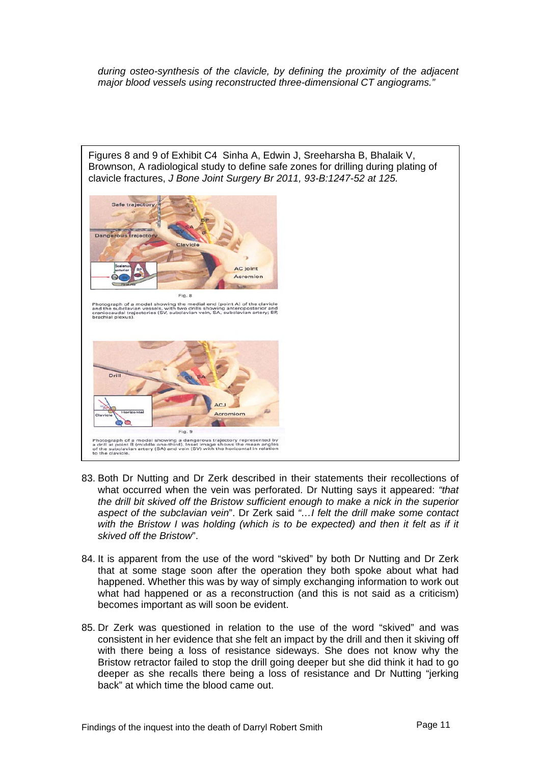*during osteo-synthesis of the clavicle, by defining the proximity of the adjacent major blood vessels using reconstructed three-dimensional CT angiograms."* 



- 83. Both Dr Nutting and Dr Zerk described in their statements their recollections of what occurred when the vein was perforated. Dr Nutting says it appeared: *"that the drill bit skived off the Bristow sufficient enough to make a nick in the superior aspect of the subclavian vein*". Dr Zerk said *"…I felt the drill make some contact*  with the Bristow I was holding (which is to be expected) and then it felt as if it *skived off the Bristow*".
- 84. It is apparent from the use of the word "skived" by both Dr Nutting and Dr Zerk that at some stage soon after the operation they both spoke about what had happened. Whether this was by way of simply exchanging information to work out what had happened or as a reconstruction (and this is not said as a criticism) becomes important as will soon be evident.
- 85. Dr Zerk was questioned in relation to the use of the word "skived" and was consistent in her evidence that she felt an impact by the drill and then it skiving off with there being a loss of resistance sideways. She does not know why the Bristow retractor failed to stop the drill going deeper but she did think it had to go deeper as she recalls there being a loss of resistance and Dr Nutting "jerking back" at which time the blood came out.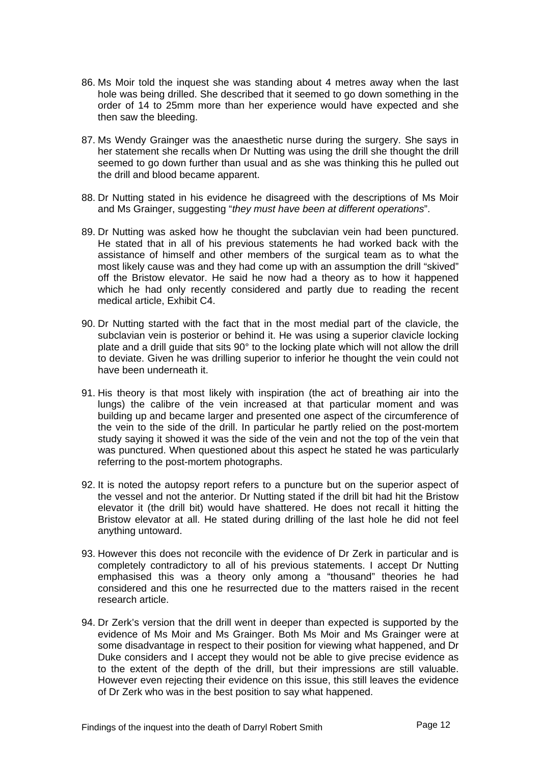- 86. Ms Moir told the inquest she was standing about 4 metres away when the last hole was being drilled. She described that it seemed to go down something in the order of 14 to 25mm more than her experience would have expected and she then saw the bleeding.
- 87. Ms Wendy Grainger was the anaesthetic nurse during the surgery. She says in her statement she recalls when Dr Nutting was using the drill she thought the drill seemed to go down further than usual and as she was thinking this he pulled out the drill and blood became apparent.
- 88. Dr Nutting stated in his evidence he disagreed with the descriptions of Ms Moir and Ms Grainger, suggesting "*they must have been at different operations*".
- 89. Dr Nutting was asked how he thought the subclavian vein had been punctured. He stated that in all of his previous statements he had worked back with the assistance of himself and other members of the surgical team as to what the most likely cause was and they had come up with an assumption the drill "skived" off the Bristow elevator. He said he now had a theory as to how it happened which he had only recently considered and partly due to reading the recent medical article, Exhibit C4.
- 90. Dr Nutting started with the fact that in the most medial part of the clavicle, the subclavian vein is posterior or behind it. He was using a superior clavicle locking plate and a drill guide that sits 90° to the locking plate which will not allow the drill to deviate. Given he was drilling superior to inferior he thought the vein could not have been underneath it.
- 91. His theory is that most likely with inspiration (the act of breathing air into the lungs) the calibre of the vein increased at that particular moment and was building up and became larger and presented one aspect of the circumference of the vein to the side of the drill. In particular he partly relied on the post-mortem study saying it showed it was the side of the vein and not the top of the vein that was punctured. When questioned about this aspect he stated he was particularly referring to the post-mortem photographs.
- 92. It is noted the autopsy report refers to a puncture but on the superior aspect of the vessel and not the anterior. Dr Nutting stated if the drill bit had hit the Bristow elevator it (the drill bit) would have shattered. He does not recall it hitting the Bristow elevator at all. He stated during drilling of the last hole he did not feel anything untoward.
- 93. However this does not reconcile with the evidence of Dr Zerk in particular and is completely contradictory to all of his previous statements. I accept Dr Nutting emphasised this was a theory only among a "thousand" theories he had considered and this one he resurrected due to the matters raised in the recent research article.
- 94. Dr Zerk's version that the drill went in deeper than expected is supported by the evidence of Ms Moir and Ms Grainger. Both Ms Moir and Ms Grainger were at some disadvantage in respect to their position for viewing what happened, and Dr Duke considers and I accept they would not be able to give precise evidence as to the extent of the depth of the drill, but their impressions are still valuable. However even rejecting their evidence on this issue, this still leaves the evidence of Dr Zerk who was in the best position to say what happened.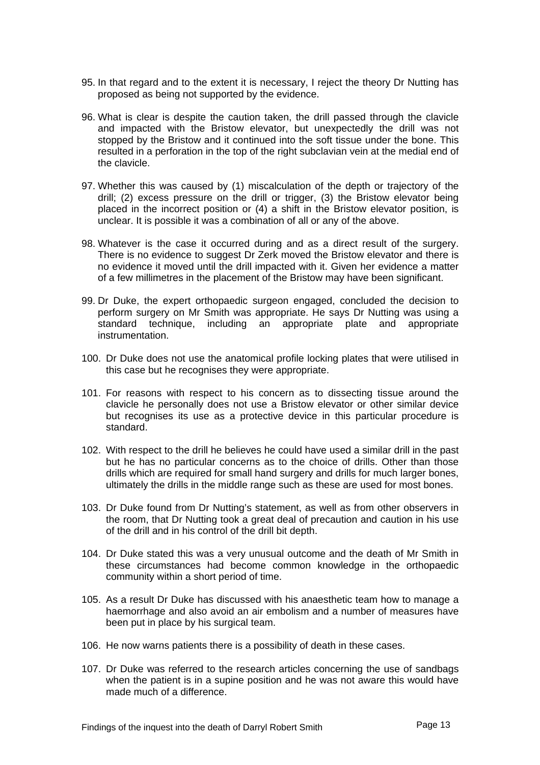- 95. In that regard and to the extent it is necessary, I reject the theory Dr Nutting has proposed as being not supported by the evidence.
- 96. What is clear is despite the caution taken, the drill passed through the clavicle and impacted with the Bristow elevator, but unexpectedly the drill was not stopped by the Bristow and it continued into the soft tissue under the bone. This resulted in a perforation in the top of the right subclavian vein at the medial end of the clavicle.
- 97. Whether this was caused by (1) miscalculation of the depth or trajectory of the drill; (2) excess pressure on the drill or trigger, (3) the Bristow elevator being placed in the incorrect position or (4) a shift in the Bristow elevator position, is unclear. It is possible it was a combination of all or any of the above.
- 98. Whatever is the case it occurred during and as a direct result of the surgery. There is no evidence to suggest Dr Zerk moved the Bristow elevator and there is no evidence it moved until the drill impacted with it. Given her evidence a matter of a few millimetres in the placement of the Bristow may have been significant.
- 99. Dr Duke, the expert orthopaedic surgeon engaged, concluded the decision to perform surgery on Mr Smith was appropriate. He says Dr Nutting was using a standard technique, including an appropriate plate and appropriate instrumentation.
- 100. Dr Duke does not use the anatomical profile locking plates that were utilised in this case but he recognises they were appropriate.
- 101. For reasons with respect to his concern as to dissecting tissue around the clavicle he personally does not use a Bristow elevator or other similar device but recognises its use as a protective device in this particular procedure is standard.
- 102. With respect to the drill he believes he could have used a similar drill in the past but he has no particular concerns as to the choice of drills. Other than those drills which are required for small hand surgery and drills for much larger bones, ultimately the drills in the middle range such as these are used for most bones.
- 103. Dr Duke found from Dr Nutting's statement, as well as from other observers in the room, that Dr Nutting took a great deal of precaution and caution in his use of the drill and in his control of the drill bit depth.
- 104. Dr Duke stated this was a very unusual outcome and the death of Mr Smith in these circumstances had become common knowledge in the orthopaedic community within a short period of time.
- 105. As a result Dr Duke has discussed with his anaesthetic team how to manage a haemorrhage and also avoid an air embolism and a number of measures have been put in place by his surgical team.
- 106. He now warns patients there is a possibility of death in these cases.
- 107. Dr Duke was referred to the research articles concerning the use of sandbags when the patient is in a supine position and he was not aware this would have made much of a difference.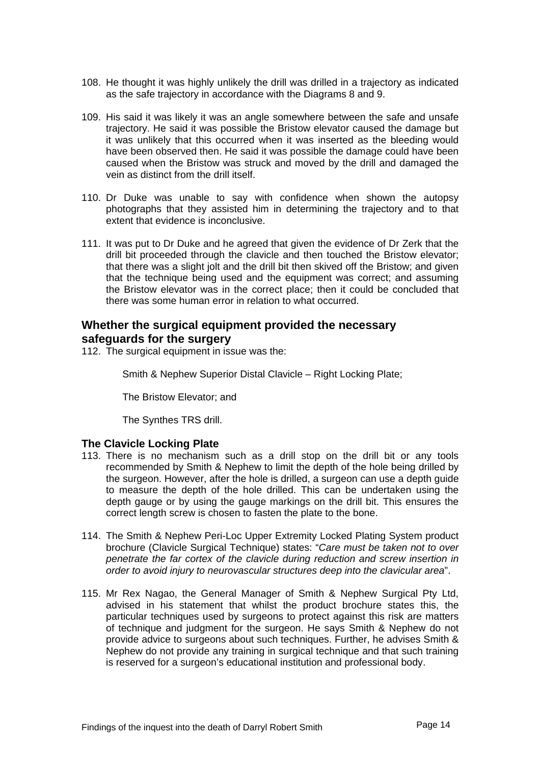- <span id="page-14-0"></span>108. He thought it was highly unlikely the drill was drilled in a trajectory as indicated as the safe trajectory in accordance with the Diagrams 8 and 9.
- 109. His said it was likely it was an angle somewhere between the safe and unsafe trajectory. He said it was possible the Bristow elevator caused the damage but it was unlikely that this occurred when it was inserted as the bleeding would have been observed then. He said it was possible the damage could have been caused when the Bristow was struck and moved by the drill and damaged the vein as distinct from the drill itself.
- 110. Dr Duke was unable to say with confidence when shown the autopsy photographs that they assisted him in determining the trajectory and to that extent that evidence is inconclusive.
- 111. It was put to Dr Duke and he agreed that given the evidence of Dr Zerk that the drill bit proceeded through the clavicle and then touched the Bristow elevator; that there was a slight jolt and the drill bit then skived off the Bristow; and given that the technique being used and the equipment was correct; and assuming the Bristow elevator was in the correct place; then it could be concluded that there was some human error in relation to what occurred.

## **Whether the surgical equipment provided the necessary safeguards for the surgery**

112. The surgical equipment in issue was the:

Smith & Nephew Superior Distal Clavicle – Right Locking Plate;

The Bristow Elevator; and

The Synthes TRS drill.

#### **The Clavicle Locking Plate**

- 113. There is no mechanism such as a drill stop on the drill bit or any tools recommended by Smith & Nephew to limit the depth of the hole being drilled by the surgeon. However, after the hole is drilled, a surgeon can use a depth guide to measure the depth of the hole drilled. This can be undertaken using the depth gauge or by using the gauge markings on the drill bit. This ensures the correct length screw is chosen to fasten the plate to the bone.
- 114. The Smith & Nephew Peri-Loc Upper Extremity Locked Plating System product brochure (Clavicle Surgical Technique) states: "*Care must be taken not to over penetrate the far cortex of the clavicle during reduction and screw insertion in order to avoid injury to neurovascular structures deep into the clavicular area*".
- 115. Mr Rex Nagao, the General Manager of Smith & Nephew Surgical Pty Ltd, advised in his statement that whilst the product brochure states this, the particular techniques used by surgeons to protect against this risk are matters of technique and judgment for the surgeon. He says Smith & Nephew do not provide advice to surgeons about such techniques. Further, he advises Smith & Nephew do not provide any training in surgical technique and that such training is reserved for a surgeon's educational institution and professional body.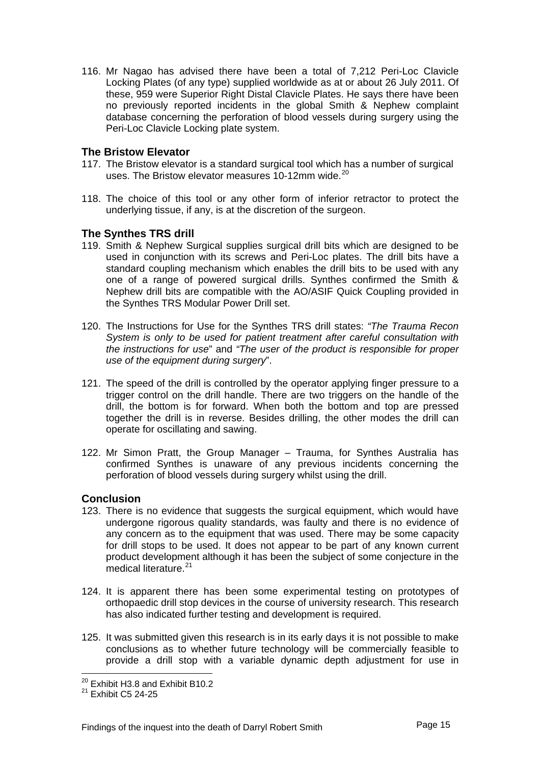<span id="page-15-0"></span>116. Mr Nagao has advised there have been a total of 7,212 Peri-Loc Clavicle Locking Plates (of any type) supplied worldwide as at or about 26 July 2011. Of these, 959 were Superior Right Distal Clavicle Plates. He says there have been no previously reported incidents in the global Smith & Nephew complaint database concerning the perforation of blood vessels during surgery using the Peri-Loc Clavicle Locking plate system.

### **The Bristow Elevator**

- 117. The Bristow elevator is a standard surgical tool which has a number of surgical uses. The Bristow elevator measures 10-12mm wide.<sup>[20](#page-15-1)</sup>
- 118. The choice of this tool or any other form of inferior retractor to protect the underlying tissue, if any, is at the discretion of the surgeon.

### **The Synthes TRS drill**

- 119. Smith & Nephew Surgical supplies surgical drill bits which are designed to be used in conjunction with its screws and Peri-Loc plates. The drill bits have a standard coupling mechanism which enables the drill bits to be used with any one of a range of powered surgical drills. Synthes confirmed the Smith & Nephew drill bits are compatible with the AO/ASIF Quick Coupling provided in the Synthes TRS Modular Power Drill set.
- 120. The Instructions for Use for the Synthes TRS drill states: *"The Trauma Recon System is only to be used for patient treatment after careful consultation with the instructions for use*" and *"The user of the product is responsible for proper use of the equipment during surgery*".
- 121. The speed of the drill is controlled by the operator applying finger pressure to a trigger control on the drill handle. There are two triggers on the handle of the drill, the bottom is for forward. When both the bottom and top are pressed together the drill is in reverse. Besides drilling, the other modes the drill can operate for oscillating and sawing.
- 122. Mr Simon Pratt, the Group Manager Trauma, for Synthes Australia has confirmed Synthes is unaware of any previous incidents concerning the perforation of blood vessels during surgery whilst using the drill.

#### **Conclusion**

- 123. There is no evidence that suggests the surgical equipment, which would have undergone rigorous quality standards, was faulty and there is no evidence of any concern as to the equipment that was used. There may be some capacity for drill stops to be used. It does not appear to be part of any known current product development although it has been the subject of some conjecture in the medical literature.<sup>[21](#page-15-2)</sup>
- 124. It is apparent there has been some experimental testing on prototypes of orthopaedic drill stop devices in the course of university research. This research has also indicated further testing and development is required.
- 125. It was submitted given this research is in its early days it is not possible to make conclusions as to whether future technology will be commercially feasible to provide a drill stop with a variable dynamic depth adjustment for use in

 $^{20}$  Exhibit H3.8 and Exhibit B10.2

<span id="page-15-2"></span><span id="page-15-1"></span> $^{21}$  Exhibit C5 24-25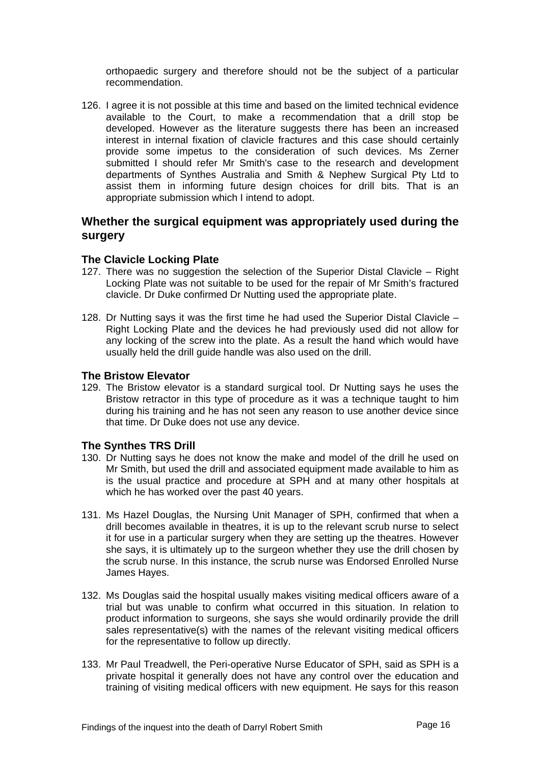<span id="page-16-0"></span>orthopaedic surgery and therefore should not be the subject of a particular recommendation.

126. I agree it is not possible at this time and based on the limited technical evidence available to the Court, to make a recommendation that a drill stop be developed. However as the literature suggests there has been an increased interest in internal fixation of clavicle fractures and this case should certainly provide some impetus to the consideration of such devices. Ms Zerner submitted I should refer Mr Smith's case to the research and development departments of Synthes Australia and Smith & Nephew Surgical Pty Ltd to assist them in informing future design choices for drill bits. That is an appropriate submission which I intend to adopt.

## **Whether the surgical equipment was appropriately used during the surgery**

### **The Clavicle Locking Plate**

- 127. There was no suggestion the selection of the Superior Distal Clavicle Right Locking Plate was not suitable to be used for the repair of Mr Smith's fractured clavicle. Dr Duke confirmed Dr Nutting used the appropriate plate.
- 128. Dr Nutting says it was the first time he had used the Superior Distal Clavicle Right Locking Plate and the devices he had previously used did not allow for any locking of the screw into the plate. As a result the hand which would have usually held the drill guide handle was also used on the drill.

### **The Bristow Elevator**

129. The Bristow elevator is a standard surgical tool. Dr Nutting says he uses the Bristow retractor in this type of procedure as it was a technique taught to him during his training and he has not seen any reason to use another device since that time. Dr Duke does not use any device.

#### **The Synthes TRS Drill**

- 130. Dr Nutting says he does not know the make and model of the drill he used on Mr Smith, but used the drill and associated equipment made available to him as is the usual practice and procedure at SPH and at many other hospitals at which he has worked over the past 40 years.
- 131. Ms Hazel Douglas, the Nursing Unit Manager of SPH, confirmed that when a drill becomes available in theatres, it is up to the relevant scrub nurse to select it for use in a particular surgery when they are setting up the theatres. However she says, it is ultimately up to the surgeon whether they use the drill chosen by the scrub nurse. In this instance, the scrub nurse was Endorsed Enrolled Nurse James Hayes.
- 132. Ms Douglas said the hospital usually makes visiting medical officers aware of a trial but was unable to confirm what occurred in this situation. In relation to product information to surgeons, she says she would ordinarily provide the drill sales representative(s) with the names of the relevant visiting medical officers for the representative to follow up directly.
- 133. Mr Paul Treadwell, the Peri-operative Nurse Educator of SPH, said as SPH is a private hospital it generally does not have any control over the education and training of visiting medical officers with new equipment. He says for this reason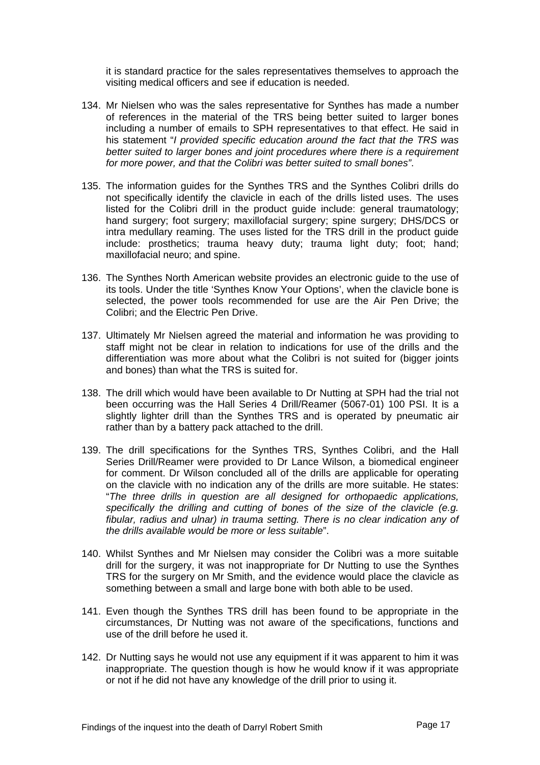it is standard practice for the sales representatives themselves to approach the visiting medical officers and see if education is needed.

- 134. Mr Nielsen who was the sales representative for Synthes has made a number of references in the material of the TRS being better suited to larger bones including a number of emails to SPH representatives to that effect. He said in his statement "*I provided specific education around the fact that the TRS was better suited to larger bones and joint procedures where there is a requirement for more power, and that the Colibri was better suited to small bones"*.
- 135. The information guides for the Synthes TRS and the Synthes Colibri drills do not specifically identify the clavicle in each of the drills listed uses. The uses listed for the Colibri drill in the product guide include: general traumatology; hand surgery; foot surgery; maxillofacial surgery; spine surgery; DHS/DCS or intra medullary reaming. The uses listed for the TRS drill in the product guide include: prosthetics; trauma heavy duty; trauma light duty; foot; hand; maxillofacial neuro; and spine.
- 136. The Synthes North American website provides an electronic guide to the use of its tools. Under the title 'Synthes Know Your Options', when the clavicle bone is selected, the power tools recommended for use are the Air Pen Drive; the Colibri; and the Electric Pen Drive.
- 137. Ultimately Mr Nielsen agreed the material and information he was providing to staff might not be clear in relation to indications for use of the drills and the differentiation was more about what the Colibri is not suited for (bigger joints and bones) than what the TRS is suited for.
- 138. The drill which would have been available to Dr Nutting at SPH had the trial not been occurring was the Hall Series 4 Drill/Reamer (5067-01) 100 PSI. It is a slightly lighter drill than the Synthes TRS and is operated by pneumatic air rather than by a battery pack attached to the drill.
- 139. The drill specifications for the Synthes TRS, Synthes Colibri, and the Hall Series Drill/Reamer were provided to Dr Lance Wilson, a biomedical engineer for comment. Dr Wilson concluded all of the drills are applicable for operating on the clavicle with no indication any of the drills are more suitable. He states: "*The three drills in question are all designed for orthopaedic applications, specifically the drilling and cutting of bones of the size of the clavicle (e.g. fibular, radius and ulnar) in trauma setting. There is no clear indication any of the drills available would be more or less suitable*".
- 140. Whilst Synthes and Mr Nielsen may consider the Colibri was a more suitable drill for the surgery, it was not inappropriate for Dr Nutting to use the Synthes TRS for the surgery on Mr Smith, and the evidence would place the clavicle as something between a small and large bone with both able to be used.
- 141. Even though the Synthes TRS drill has been found to be appropriate in the circumstances, Dr Nutting was not aware of the specifications, functions and use of the drill before he used it.
- 142. Dr Nutting says he would not use any equipment if it was apparent to him it was inappropriate. The question though is how he would know if it was appropriate or not if he did not have any knowledge of the drill prior to using it.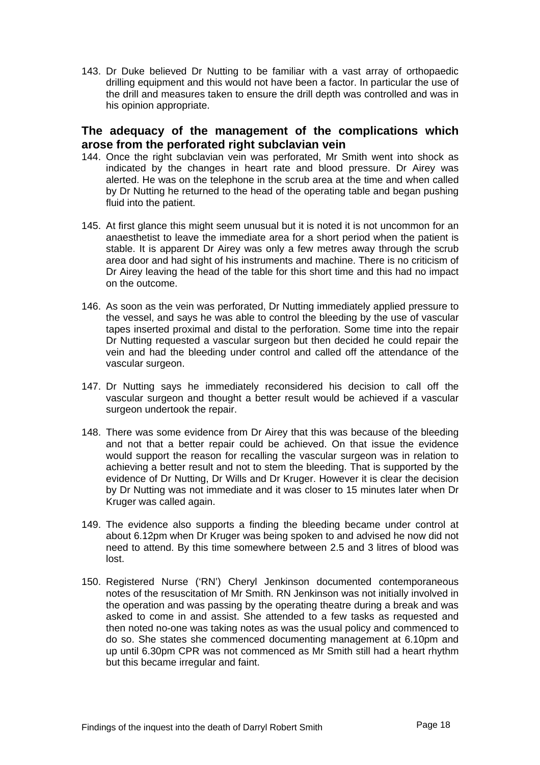<span id="page-18-0"></span>143. Dr Duke believed Dr Nutting to be familiar with a vast array of orthopaedic drilling equipment and this would not have been a factor. In particular the use of the drill and measures taken to ensure the drill depth was controlled and was in his opinion appropriate.

## **The adequacy of the management of the complications which arose from the perforated right subclavian vein**

- 144. Once the right subclavian vein was perforated, Mr Smith went into shock as indicated by the changes in heart rate and blood pressure. Dr Airey was alerted. He was on the telephone in the scrub area at the time and when called by Dr Nutting he returned to the head of the operating table and began pushing fluid into the patient.
- 145. At first glance this might seem unusual but it is noted it is not uncommon for an anaesthetist to leave the immediate area for a short period when the patient is stable. It is apparent Dr Airey was only a few metres away through the scrub area door and had sight of his instruments and machine. There is no criticism of Dr Airey leaving the head of the table for this short time and this had no impact on the outcome.
- 146. As soon as the vein was perforated, Dr Nutting immediately applied pressure to the vessel, and says he was able to control the bleeding by the use of vascular tapes inserted proximal and distal to the perforation. Some time into the repair Dr Nutting requested a vascular surgeon but then decided he could repair the vein and had the bleeding under control and called off the attendance of the vascular surgeon.
- 147. Dr Nutting says he immediately reconsidered his decision to call off the vascular surgeon and thought a better result would be achieved if a vascular surgeon undertook the repair.
- 148. There was some evidence from Dr Airey that this was because of the bleeding and not that a better repair could be achieved. On that issue the evidence would support the reason for recalling the vascular surgeon was in relation to achieving a better result and not to stem the bleeding. That is supported by the evidence of Dr Nutting, Dr Wills and Dr Kruger. However it is clear the decision by Dr Nutting was not immediate and it was closer to 15 minutes later when Dr Kruger was called again.
- 149. The evidence also supports a finding the bleeding became under control at about 6.12pm when Dr Kruger was being spoken to and advised he now did not need to attend. By this time somewhere between 2.5 and 3 litres of blood was lost.
- 150. Registered Nurse ('RN') Cheryl Jenkinson documented contemporaneous notes of the resuscitation of Mr Smith. RN Jenkinson was not initially involved in the operation and was passing by the operating theatre during a break and was asked to come in and assist. She attended to a few tasks as requested and then noted no-one was taking notes as was the usual policy and commenced to do so. She states she commenced documenting management at 6.10pm and up until 6.30pm CPR was not commenced as Mr Smith still had a heart rhythm but this became irregular and faint.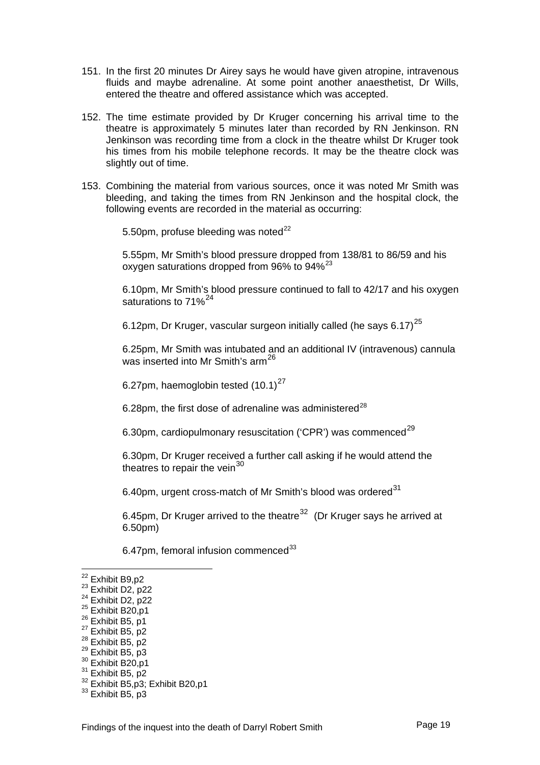- 151. In the first 20 minutes Dr Airey says he would have given atropine, intravenous fluids and maybe adrenaline. At some point another anaesthetist, Dr Wills, entered the theatre and offered assistance which was accepted.
- 152. The time estimate provided by Dr Kruger concerning his arrival time to the theatre is approximately 5 minutes later than recorded by RN Jenkinson. RN Jenkinson was recording time from a clock in the theatre whilst Dr Kruger took his times from his mobile telephone records. It may be the theatre clock was slightly out of time.
- 153. Combining the material from various sources, once it was noted Mr Smith was bleeding, and taking the times from RN Jenkinson and the hospital clock, the following events are recorded in the material as occurring:

5.50pm, profuse bleeding was noted $^{22}$  $^{22}$  $^{22}$ 

5.55pm, Mr Smith's blood pressure dropped from 138/81 to 86/59 and his oxygen saturations dropped from 96% to 94%<sup>[23](#page-19-1)</sup>

6.10pm, Mr Smith's blood pressure continued to fall to 42/17 and his oxygen saturations to 71%<sup>[24](#page-19-2)</sup>

6.12pm, Dr Kruger, vascular surgeon initially called (he says  $6.17$ )<sup>[25](#page-19-3)</sup>

6.25pm, Mr Smith was intubated and an additional IV (intravenous) cannula was inserted into Mr Smith's arm<sup>[26](#page-19-4)</sup>

6.[27](#page-19-5)pm, haemoglobin tested  $(10.1)^{27}$ 

6.[28](#page-19-6)pm, the first dose of adrenaline was administered $^{28}$ 

6.30pm, cardiopulmonary resuscitation ('CPR') was commenced<sup>[29](#page-19-7)</sup>

6.30pm, Dr Kruger received a further call asking if he would attend the theatres to repair the vein<sup>[30](#page-19-8)</sup>

6.40pm, urgent cross-match of Mr Smith's blood was ordered<sup>[31](#page-19-9)</sup>

6.45pm. Dr Kruger arrived to the theatre<sup>[32](#page-19-10)</sup> (Dr Kruger says he arrived at 6.50pm)

6.47pm, femoral infusion commenced $^{33}$  $^{33}$  $^{33}$ 

- <span id="page-19-3"></span>
- <span id="page-19-4"></span>
- <span id="page-19-5"></span>
- <span id="page-19-6"></span>
- <span id="page-19-7"></span>
- <span id="page-19-8"></span>
- <span id="page-19-9"></span>
- <sup>22</sup> Exhibit B9,p2<br>
<sup>23</sup> Exhibit D2, p22<br>
<sup>24</sup> Exhibit D2, p22<br>
<sup>25</sup> Exhibit B20,p1<br>
<sup>26</sup> Exhibit B5, p1<br>
<sup>27</sup> Exhibit B5, p2<br>
<sup>28</sup> Exhibit B5, p2<br>
<sup>29</sup> Exhibit B5, p3<br>
<sup>30</sup> Exhibit B20,p1<br>
<sup>31</sup> Exhibit B5, p2<br>
<sup>22</sup> Exhib
- <span id="page-19-11"></span><span id="page-19-10"></span>

<span id="page-19-0"></span><sup>&</sup>lt;sup>22</sup> Exhibit B9,p2

<span id="page-19-1"></span>

<span id="page-19-2"></span>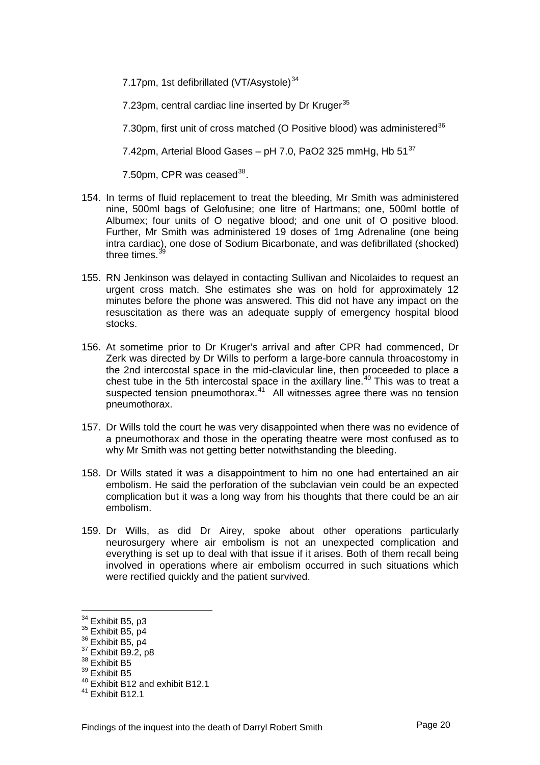7.17pm, 1st defibrillated (VT/Asystole)<sup>[34](#page-20-0)</sup>

7.23pm, central cardiac line inserted by Dr Kruger<sup>[35](#page-20-1)</sup>

7.30pm, first unit of cross matched (O Positive blood) was administered<sup>[36](#page-20-2)</sup>

7.42pm, Arterial Blood Gases – pH 7.0, PaO2 325 mmHg, Hb  $51^{37}$  $51^{37}$  $51^{37}$ 

7.50pm, CPR was ceased $^{38}$  $^{38}$  $^{38}$ .

- 154. In terms of fluid replacement to treat the bleeding, Mr Smith was administered nine, 500ml bags of Gelofusine; one litre of Hartmans; one, 500ml bottle of Albumex; four units of O negative blood; and one unit of O positive blood. Further, Mr Smith was administered 19 doses of 1mg Adrenaline (one being intra cardiac), one dose of Sodium Bicarbonate, and was defibrillated (shocked) three times.<sup>[39](#page-20-5)</sup>
- 155. RN Jenkinson was delayed in contacting Sullivan and Nicolaides to request an urgent cross match. She estimates she was on hold for approximately 12 minutes before the phone was answered. This did not have any impact on the resuscitation as there was an adequate supply of emergency hospital blood stocks.
- 156. At sometime prior to Dr Kruger's arrival and after CPR had commenced, Dr Zerk was directed by Dr Wills to perform a large-bore cannula throacostomy in the 2nd intercostal space in the mid-clavicular line, then proceeded to place a chest tube in the 5th intercostal space in the axillary line.<sup>[40](#page-20-6)</sup> This was to treat a suspected tension pneumothorax.<sup>[41](#page-20-7)</sup> All witnesses agree there was no tension pneumothorax.
- 157. Dr Wills told the court he was very disappointed when there was no evidence of a pneumothorax and those in the operating theatre were most confused as to why Mr Smith was not getting better notwithstanding the bleeding.
- 158. Dr Wills stated it was a disappointment to him no one had entertained an air embolism. He said the perforation of the subclavian vein could be an expected complication but it was a long way from his thoughts that there could be an air embolism.
- 159. Dr Wills, as did Dr Airey, spoke about other operations particularly neurosurgery where air embolism is not an unexpected complication and everything is set up to deal with that issue if it arises. Both of them recall being involved in operations where air embolism occurred in such situations which were rectified quickly and the patient survived.

<span id="page-20-0"></span><sup>&</sup>lt;sup>34</sup> Exhibit B5, p3

<span id="page-20-3"></span><span id="page-20-2"></span>

<span id="page-20-1"></span><sup>&</sup>lt;sup>35</sup> Exhibit B5, p4<br><sup>36</sup> Exhibit B5, p4<br><sup>37</sup> Exhibit B9.2, p8<br><sup>38</sup> Exhibit B5

<span id="page-20-5"></span><span id="page-20-4"></span> $39$  Exhibit B5

<span id="page-20-6"></span><sup>40</sup> Exhibit B12 and exhibit B12.1

<span id="page-20-7"></span> $41$  Exhibit B12.1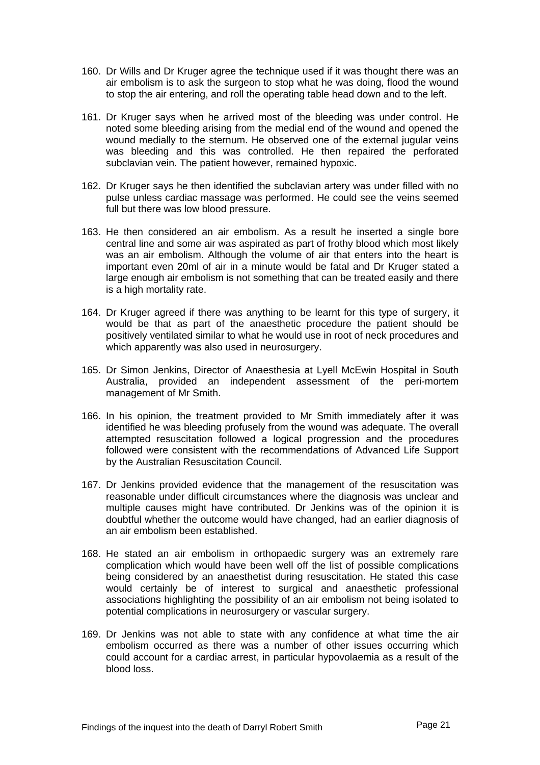- 160. Dr Wills and Dr Kruger agree the technique used if it was thought there was an air embolism is to ask the surgeon to stop what he was doing, flood the wound to stop the air entering, and roll the operating table head down and to the left.
- 161. Dr Kruger says when he arrived most of the bleeding was under control. He noted some bleeding arising from the medial end of the wound and opened the wound medially to the sternum. He observed one of the external jugular veins was bleeding and this was controlled. He then repaired the perforated subclavian vein. The patient however, remained hypoxic.
- 162. Dr Kruger says he then identified the subclavian artery was under filled with no pulse unless cardiac massage was performed. He could see the veins seemed full but there was low blood pressure.
- 163. He then considered an air embolism. As a result he inserted a single bore central line and some air was aspirated as part of frothy blood which most likely was an air embolism. Although the volume of air that enters into the heart is important even 20ml of air in a minute would be fatal and Dr Kruger stated a large enough air embolism is not something that can be treated easily and there is a high mortality rate.
- 164. Dr Kruger agreed if there was anything to be learnt for this type of surgery, it would be that as part of the anaesthetic procedure the patient should be positively ventilated similar to what he would use in root of neck procedures and which apparently was also used in neurosurgery.
- 165. Dr Simon Jenkins, Director of Anaesthesia at Lyell McEwin Hospital in South Australia, provided an independent assessment of the peri-mortem management of Mr Smith.
- 166. In his opinion, the treatment provided to Mr Smith immediately after it was identified he was bleeding profusely from the wound was adequate. The overall attempted resuscitation followed a logical progression and the procedures followed were consistent with the recommendations of Advanced Life Support by the Australian Resuscitation Council.
- 167. Dr Jenkins provided evidence that the management of the resuscitation was reasonable under difficult circumstances where the diagnosis was unclear and multiple causes might have contributed. Dr Jenkins was of the opinion it is doubtful whether the outcome would have changed, had an earlier diagnosis of an air embolism been established.
- 168. He stated an air embolism in orthopaedic surgery was an extremely rare complication which would have been well off the list of possible complications being considered by an anaesthetist during resuscitation. He stated this case would certainly be of interest to surgical and anaesthetic professional associations highlighting the possibility of an air embolism not being isolated to potential complications in neurosurgery or vascular surgery.
- 169. Dr Jenkins was not able to state with any confidence at what time the air embolism occurred as there was a number of other issues occurring which could account for a cardiac arrest, in particular hypovolaemia as a result of the blood loss.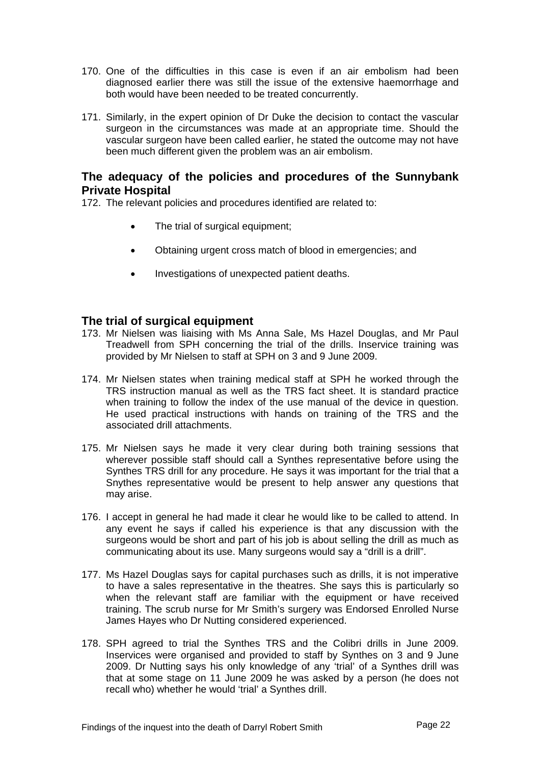- <span id="page-22-0"></span>170. One of the difficulties in this case is even if an air embolism had been diagnosed earlier there was still the issue of the extensive haemorrhage and both would have been needed to be treated concurrently.
- 171. Similarly, in the expert opinion of Dr Duke the decision to contact the vascular surgeon in the circumstances was made at an appropriate time. Should the vascular surgeon have been called earlier, he stated the outcome may not have been much different given the problem was an air embolism.

## **The adequacy of the policies and procedures of the Sunnybank Private Hospital**

172. The relevant policies and procedures identified are related to:

- The trial of surgical equipment;
- Obtaining urgent cross match of blood in emergencies; and
- Investigations of unexpected patient deaths.

### **The trial of surgical equipment**

- 173. Mr Nielsen was liaising with Ms Anna Sale, Ms Hazel Douglas, and Mr Paul Treadwell from SPH concerning the trial of the drills. Inservice training was provided by Mr Nielsen to staff at SPH on 3 and 9 June 2009.
- 174. Mr Nielsen states when training medical staff at SPH he worked through the TRS instruction manual as well as the TRS fact sheet. It is standard practice when training to follow the index of the use manual of the device in question. He used practical instructions with hands on training of the TRS and the associated drill attachments.
- 175. Mr Nielsen says he made it very clear during both training sessions that wherever possible staff should call a Synthes representative before using the Synthes TRS drill for any procedure. He says it was important for the trial that a Snythes representative would be present to help answer any questions that may arise.
- 176. I accept in general he had made it clear he would like to be called to attend. In any event he says if called his experience is that any discussion with the surgeons would be short and part of his job is about selling the drill as much as communicating about its use. Many surgeons would say a "drill is a drill".
- 177. Ms Hazel Douglas says for capital purchases such as drills, it is not imperative to have a sales representative in the theatres. She says this is particularly so when the relevant staff are familiar with the equipment or have received training. The scrub nurse for Mr Smith's surgery was Endorsed Enrolled Nurse James Hayes who Dr Nutting considered experienced.
- 178. SPH agreed to trial the Synthes TRS and the Colibri drills in June 2009. Inservices were organised and provided to staff by Synthes on 3 and 9 June 2009. Dr Nutting says his only knowledge of any 'trial' of a Synthes drill was that at some stage on 11 June 2009 he was asked by a person (he does not recall who) whether he would 'trial' a Synthes drill.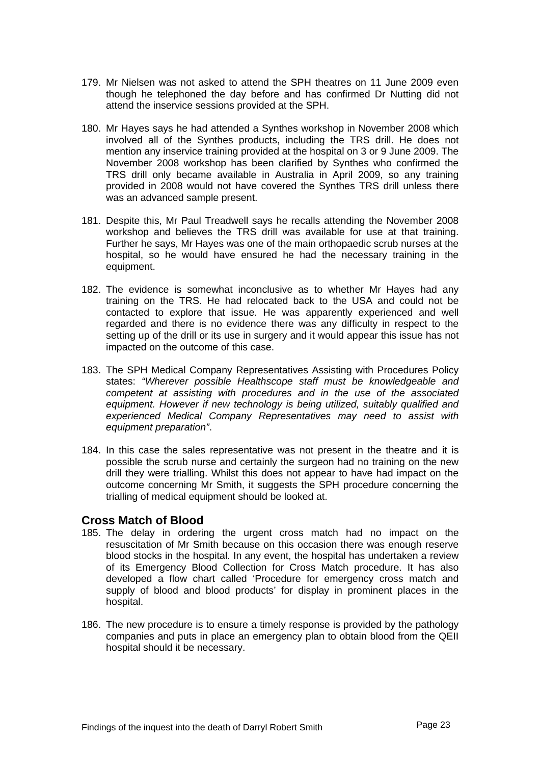- <span id="page-23-0"></span>179. Mr Nielsen was not asked to attend the SPH theatres on 11 June 2009 even though he telephoned the day before and has confirmed Dr Nutting did not attend the inservice sessions provided at the SPH.
- 180. Mr Hayes says he had attended a Synthes workshop in November 2008 which involved all of the Synthes products, including the TRS drill. He does not mention any inservice training provided at the hospital on 3 or 9 June 2009. The November 2008 workshop has been clarified by Synthes who confirmed the TRS drill only became available in Australia in April 2009, so any training provided in 2008 would not have covered the Synthes TRS drill unless there was an advanced sample present.
- 181. Despite this, Mr Paul Treadwell says he recalls attending the November 2008 workshop and believes the TRS drill was available for use at that training. Further he says, Mr Hayes was one of the main orthopaedic scrub nurses at the hospital, so he would have ensured he had the necessary training in the equipment.
- 182. The evidence is somewhat inconclusive as to whether Mr Hayes had any training on the TRS. He had relocated back to the USA and could not be contacted to explore that issue. He was apparently experienced and well regarded and there is no evidence there was any difficulty in respect to the setting up of the drill or its use in surgery and it would appear this issue has not impacted on the outcome of this case.
- 183. The SPH Medical Company Representatives Assisting with Procedures Policy states: *"Wherever possible Healthscope staff must be knowledgeable and competent at assisting with procedures and in the use of the associated equipment. However if new technology is being utilized, suitably qualified and experienced Medical Company Representatives may need to assist with equipment preparation"*.
- 184. In this case the sales representative was not present in the theatre and it is possible the scrub nurse and certainly the surgeon had no training on the new drill they were trialling. Whilst this does not appear to have had impact on the outcome concerning Mr Smith, it suggests the SPH procedure concerning the trialling of medical equipment should be looked at.

## **Cross Match of Blood**

- 185. The delay in ordering the urgent cross match had no impact on the resuscitation of Mr Smith because on this occasion there was enough reserve blood stocks in the hospital. In any event, the hospital has undertaken a review of its Emergency Blood Collection for Cross Match procedure. It has also developed a flow chart called 'Procedure for emergency cross match and supply of blood and blood products' for display in prominent places in the hospital.
- 186. The new procedure is to ensure a timely response is provided by the pathology companies and puts in place an emergency plan to obtain blood from the QEII hospital should it be necessary.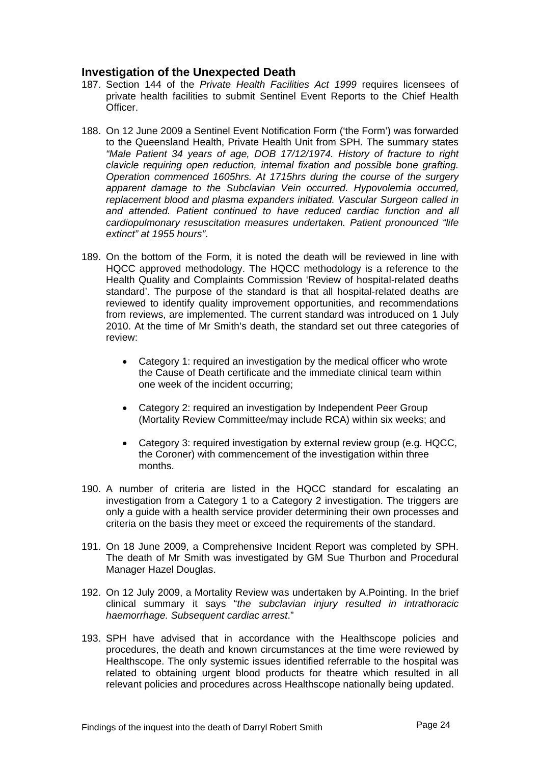## <span id="page-24-0"></span>**Investigation of the Unexpected Death**

- 187. Section 144 of the *Private Health Facilities Act 1999* requires licensees of private health facilities to submit Sentinel Event Reports to the Chief Health Officer.
- 188. On 12 June 2009 a Sentinel Event Notification Form ('the Form') was forwarded to the Queensland Health, Private Health Unit from SPH. The summary states *"Male Patient 34 years of age, DOB 17/12/1974. History of fracture to right clavicle requiring open reduction, internal fixation and possible bone grafting. Operation commenced 1605hrs. At 1715hrs during the course of the surgery apparent damage to the Subclavian Vein occurred. Hypovolemia occurred, replacement blood and plasma expanders initiated. Vascular Surgeon called in and attended. Patient continued to have reduced cardiac function and all cardiopulmonary resuscitation measures undertaken. Patient pronounced "life extinct" at 1955 hours"*.
- 189. On the bottom of the Form, it is noted the death will be reviewed in line with HQCC approved methodology. The HQCC methodology is a reference to the Health Quality and Complaints Commission 'Review of hospital-related deaths standard'. The purpose of the standard is that all hospital-related deaths are reviewed to identify quality improvement opportunities, and recommendations from reviews, are implemented. The current standard was introduced on 1 July 2010. At the time of Mr Smith's death, the standard set out three categories of review:
	- Category 1: required an investigation by the medical officer who wrote the Cause of Death certificate and the immediate clinical team within one week of the incident occurring;
	- Category 2: required an investigation by Independent Peer Group (Mortality Review Committee/may include RCA) within six weeks; and
	- Category 3: required investigation by external review group (e.g. HQCC, the Coroner) with commencement of the investigation within three months.
- 190. A number of criteria are listed in the HQCC standard for escalating an investigation from a Category 1 to a Category 2 investigation. The triggers are only a guide with a health service provider determining their own processes and criteria on the basis they meet or exceed the requirements of the standard.
- 191. On 18 June 2009, a Comprehensive Incident Report was completed by SPH. The death of Mr Smith was investigated by GM Sue Thurbon and Procedural Manager Hazel Douglas.
- 192. On 12 July 2009, a Mortality Review was undertaken by A.Pointing. In the brief clinical summary it says "*the subclavian injury resulted in intrathoracic haemorrhage. Subsequent cardiac arrest*."
- 193. SPH have advised that in accordance with the Healthscope policies and procedures, the death and known circumstances at the time were reviewed by Healthscope. The only systemic issues identified referrable to the hospital was related to obtaining urgent blood products for theatre which resulted in all relevant policies and procedures across Healthscope nationally being updated.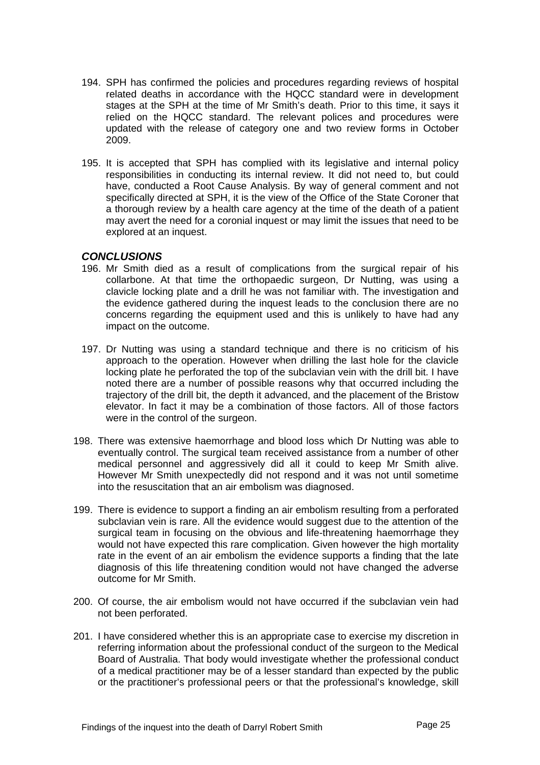- <span id="page-25-0"></span>194. SPH has confirmed the policies and procedures regarding reviews of hospital related deaths in accordance with the HQCC standard were in development stages at the SPH at the time of Mr Smith's death. Prior to this time, it says it relied on the HQCC standard. The relevant polices and procedures were updated with the release of category one and two review forms in October 2009.
- 195. It is accepted that SPH has complied with its legislative and internal policy responsibilities in conducting its internal review. It did not need to, but could have, conducted a Root Cause Analysis. By way of general comment and not specifically directed at SPH, it is the view of the Office of the State Coroner that a thorough review by a health care agency at the time of the death of a patient may avert the need for a coronial inquest or may limit the issues that need to be explored at an inquest.

#### *CONCLUSIONS*

- 196. Mr Smith died as a result of complications from the surgical repair of his collarbone. At that time the orthopaedic surgeon, Dr Nutting, was using a clavicle locking plate and a drill he was not familiar with. The investigation and the evidence gathered during the inquest leads to the conclusion there are no concerns regarding the equipment used and this is unlikely to have had any impact on the outcome.
- 197. Dr Nutting was using a standard technique and there is no criticism of his approach to the operation. However when drilling the last hole for the clavicle locking plate he perforated the top of the subclavian vein with the drill bit. I have noted there are a number of possible reasons why that occurred including the trajectory of the drill bit, the depth it advanced, and the placement of the Bristow elevator. In fact it may be a combination of those factors. All of those factors were in the control of the surgeon.
- 198. There was extensive haemorrhage and blood loss which Dr Nutting was able to eventually control. The surgical team received assistance from a number of other medical personnel and aggressively did all it could to keep Mr Smith alive. However Mr Smith unexpectedly did not respond and it was not until sometime into the resuscitation that an air embolism was diagnosed.
- 199. There is evidence to support a finding an air embolism resulting from a perforated subclavian vein is rare. All the evidence would suggest due to the attention of the surgical team in focusing on the obvious and life-threatening haemorrhage they would not have expected this rare complication. Given however the high mortality rate in the event of an air embolism the evidence supports a finding that the late diagnosis of this life threatening condition would not have changed the adverse outcome for Mr Smith.
- 200. Of course, the air embolism would not have occurred if the subclavian vein had not been perforated.
- 201. I have considered whether this is an appropriate case to exercise my discretion in referring information about the professional conduct of the surgeon to the Medical Board of Australia. That body would investigate whether the professional conduct of a medical practitioner may be of a lesser standard than expected by the public or the practitioner's professional peers or that the professional's knowledge, skill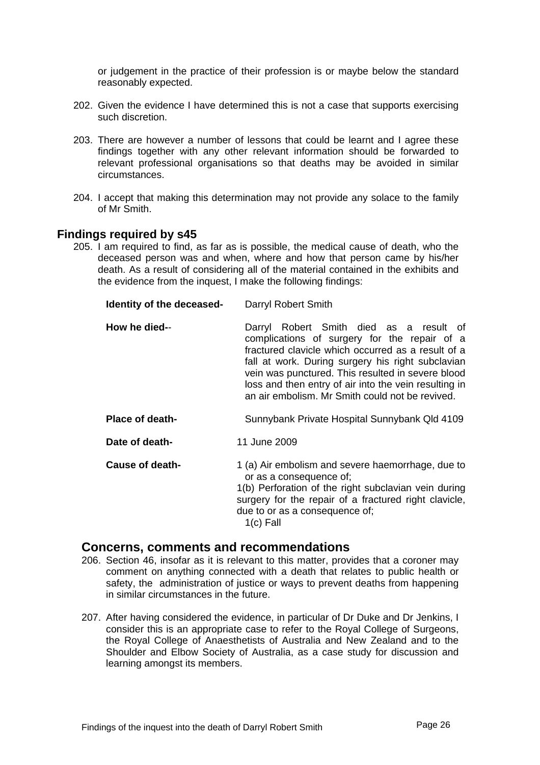<span id="page-26-0"></span>or judgement in the practice of their profession is or maybe below the standard reasonably expected.

- 202. Given the evidence I have determined this is not a case that supports exercising such discretion.
- 203. There are however a number of lessons that could be learnt and I agree these findings together with any other relevant information should be forwarded to relevant professional organisations so that deaths may be avoided in similar circumstances.
- 204. I accept that making this determination may not provide any solace to the family of Mr Smith.

#### **Findings required by s45**

205. I am required to find, as far as is possible, the medical cause of death, who the deceased person was and when, where and how that person came by his/her death. As a result of considering all of the material contained in the exhibits and the evidence from the inquest, I make the following findings:

| Identity of the deceased- | Darryl Robert Smith                                                                                                                                                                                                                                                                                                                                                 |
|---------------------------|---------------------------------------------------------------------------------------------------------------------------------------------------------------------------------------------------------------------------------------------------------------------------------------------------------------------------------------------------------------------|
| How he died--             | Darryl Robert Smith died as a result of<br>complications of surgery for the repair of a<br>fractured clavicle which occurred as a result of a<br>fall at work. During surgery his right subclavian<br>vein was punctured. This resulted in severe blood<br>loss and then entry of air into the vein resulting in<br>an air embolism. Mr Smith could not be revived. |
| <b>Place of death-</b>    | Sunnybank Private Hospital Sunnybank Qld 4109                                                                                                                                                                                                                                                                                                                       |
| Date of death-            | 11 June 2009                                                                                                                                                                                                                                                                                                                                                        |
| Cause of death-           | 1 (a) Air embolism and severe haemorrhage, due to<br>or as a consequence of;<br>1(b) Perforation of the right subclavian vein during<br>surgery for the repair of a fractured right clavicle,<br>due to or as a consequence of;<br>$1(c)$ Fall                                                                                                                      |

#### **Concerns, comments and recommendations**

- 206. Section 46, insofar as it is relevant to this matter, provides that a coroner may comment on anything connected with a death that relates to public health or safety, the administration of justice or ways to prevent deaths from happening in similar circumstances in the future.
- 207. After having considered the evidence, in particular of Dr Duke and Dr Jenkins, I consider this is an appropriate case to refer to the Royal College of Surgeons, the Royal College of Anaesthetists of Australia and New Zealand and to the Shoulder and Elbow Society of Australia, as a case study for discussion and learning amongst its members.